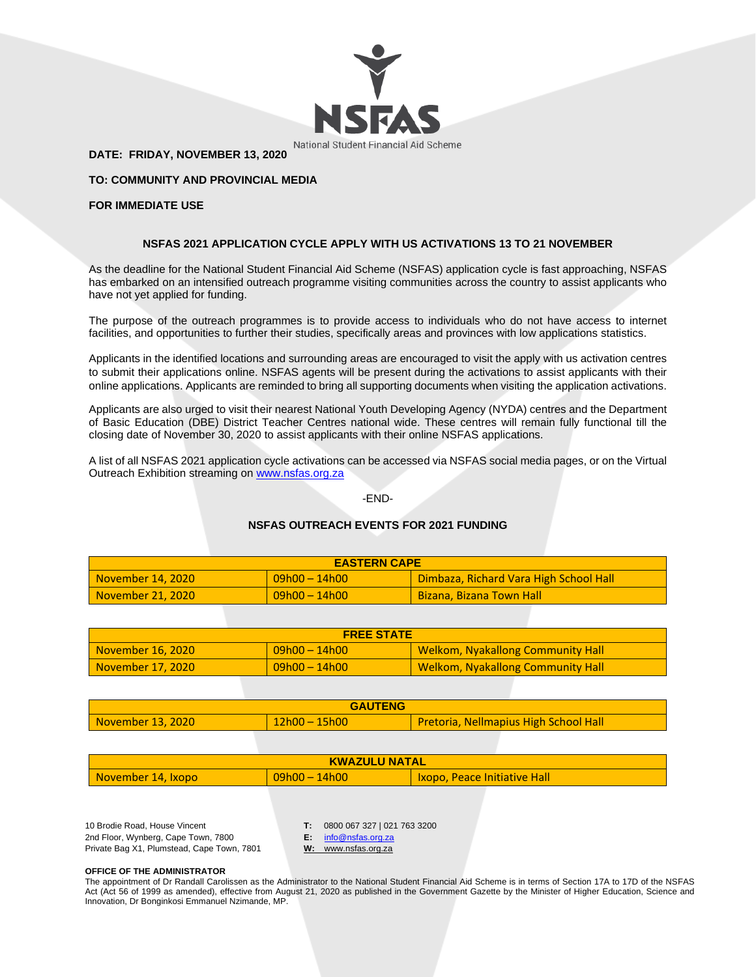

**DATE: FRIDAY, NOVEMBER 13, 2020**

**TO: COMMUNITY AND PROVINCIAL MEDIA**

## **FOR IMMEDIATE USE**

# **NSFAS 2021 APPLICATION CYCLE APPLY WITH US ACTIVATIONS 13 TO 21 NOVEMBER**

As the deadline for the National Student Financial Aid Scheme (NSFAS) application cycle is fast approaching, NSFAS has embarked on an intensified outreach programme visiting communities across the country to assist applicants who have not yet applied for funding.

The purpose of the outreach programmes is to provide access to individuals who do not have access to internet facilities, and opportunities to further their studies, specifically areas and provinces with low applications statistics.

Applicants in the identified locations and surrounding areas are encouraged to visit the apply with us activation centres to submit their applications online. NSFAS agents will be present during the activations to assist applicants with their online applications. Applicants are reminded to bring all supporting documents when visiting the application activations.

Applicants are also urged to visit their nearest National Youth Developing Agency (NYDA) centres and the Department of Basic Education (DBE) District Teacher Centres national wide. These centres will remain fully functional till the closing date of November 30, 2020 to assist applicants with their online NSFAS applications.

A list of all NSFAS 2021 application cycle activations can be accessed via NSFAS social media pages, or on the Virtual Outreach Exhibition streaming on [www.nsfas.org.za](http://www.nsfas.org.za/)

### -END-

# **NSFAS OUTREACH EVENTS FOR 2021 FUNDING**

| <b>EASTERN CAPE</b> |                  |                                        |
|---------------------|------------------|----------------------------------------|
| November 14, 2020   | $09h00 - 14h00$  | Dimbaza, Richard Vara High School Hall |
| November 21, 2020   | $109h00 - 14h00$ | <b>Bizana, Bizana Town Hall</b>        |

| <b>FREE STATE</b> |                 |                                          |
|-------------------|-----------------|------------------------------------------|
| November 16, 2020 | $09h00 - 14h00$ | <b>Welkom, Nyakallong Community Hall</b> |
| November 17, 2020 | $09h00 - 14h00$ | <b>Welkom, Nyakallong Community Hall</b> |

| <b>GAUTENG</b>    |                 |                                              |
|-------------------|-----------------|----------------------------------------------|
| November 13, 2020 | $12h00 - 15h00$ | <b>Pretoria, Nellmapius High School Hall</b> |

| <b>KWAZULU NATAL</b> |                 |                                     |
|----------------------|-----------------|-------------------------------------|
| November 14, Ixopo   | $09h00 - 14h00$ | <b>Ixopo, Peace Initiative Hall</b> |

10 Brodie Road, House Vincent 2nd Floor, Wynberg, Cape Town, 7800 Private Bag X1, Plumstead, Cape Town, 7801 **T:** 0800 067 327 | 021 763 3200

**E:** [info@nsfas.org.za](mailto:info@nsfas.org.za)

**W:** www.nsfas.org.za

#### **OFFICE OF THE ADMINISTRATOR**

The appointment of Dr Randall Carolissen as the Administrator to the National Student Financial Aid Scheme is in terms of Section 17A to 17D of the NSFAS Act (Act 56 of 1999 as amended), effective from August 21, 2020 as published in the Government Gazette by the Minister of Higher Education, Science and Innovation, Dr Bonginkosi Emmanuel Nzimande, MP.